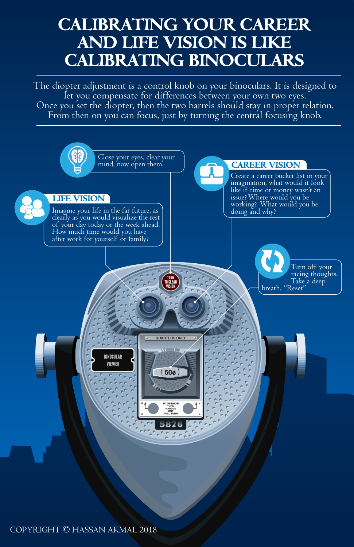# **CALIBRATING YOUR CAREER AND LIFE VISION IS LIKE CALIBRATING BINOCULARS**

The diopter adjustment is a control knob on your binoculars. It is designed to<br>let you compensate for differences between your own two eyes.<br>Once you set the diopter, then the two barrels should stay in proper relation.<br>Fr

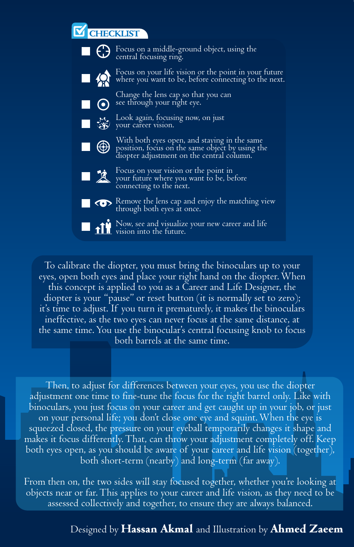## **CHECKLIST**



To calibrate the diopter, you must bring the binoculars up to your eyes, open both eyes and place your right hand on the diopter. When this concept is applied to you as a Career and Life Designer, the diopter is your "pause" or reset button (it is normally set to zero); it's time to adjust. If you turn it prematurely, it makes the binoculars ineffective, as the two eyes can never focus at the same distance, at the same time. You use the binocular's central focusing knob to focus both barrels at the same time.

Then, to adjust for differences between your eyes, you use the diopter adjustment one time to fine-tune the focus for the right barrel only. Like with binoculars, you just focus on your career and get caught up in your job, or just on your personal life; you don't close one eye and squint. When the eye is squeezed closed, the pressure on your eyeball temporarily changes it shape and makes it focus differently. That, can throw your adjustment completely off. Keep both eyes open, as you should be aware of your career and life vision (together), both short-term (nearby) and long-term (far away).

From then on, the two sides will stay focused together, whether you're looking at objects near or far. This applies to your career and life vision, as they need to be assessed collectively and together, to ensure they are always balanced.